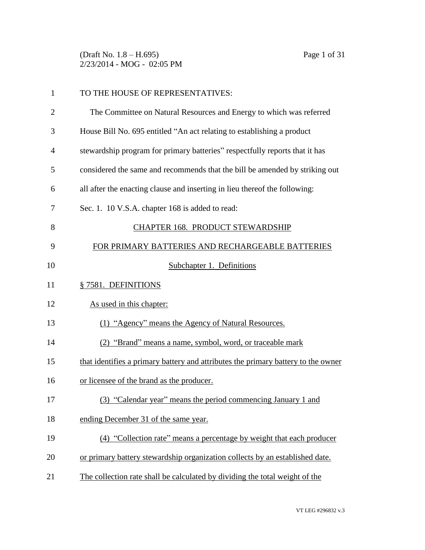(Draft No. 1.8 – H.695) Page 1 of 31 2/23/2014 - MOG - 02:05 PM

| $\mathbf{1}$   | TO THE HOUSE OF REPRESENTATIVES:                                                  |
|----------------|-----------------------------------------------------------------------------------|
| $\overline{2}$ | The Committee on Natural Resources and Energy to which was referred               |
| 3              | House Bill No. 695 entitled "An act relating to establishing a product            |
| 4              | stewardship program for primary batteries" respectfully reports that it has       |
| 5              | considered the same and recommends that the bill be amended by striking out       |
| 6              | all after the enacting clause and inserting in lieu thereof the following:        |
| 7              | Sec. 1. 10 V.S.A. chapter 168 is added to read:                                   |
| 8              | CHAPTER 168. PRODUCT STEWARDSHIP                                                  |
| 9              | FOR PRIMARY BATTERIES AND RECHARGEABLE BATTERIES                                  |
| 10             | Subchapter 1. Definitions                                                         |
| 11             | § 7581. DEFINITIONS                                                               |
| 12             | As used in this chapter:                                                          |
| 13             | (1) "Agency" means the Agency of Natural Resources.                               |
| 14             | (2) "Brand" means a name, symbol, word, or traceable mark                         |
| 15             | that identifies a primary battery and attributes the primary battery to the owner |
| 16             | or licensee of the brand as the producer.                                         |
| 17             | (3) "Calendar year" means the period commencing January 1 and                     |
| 18             | ending December 31 of the same year.                                              |
| 19             | (4) "Collection rate" means a percentage by weight that each producer             |
| 20             | or primary battery stewardship organization collects by an established date.      |
| 21             | The collection rate shall be calculated by dividing the total weight of the       |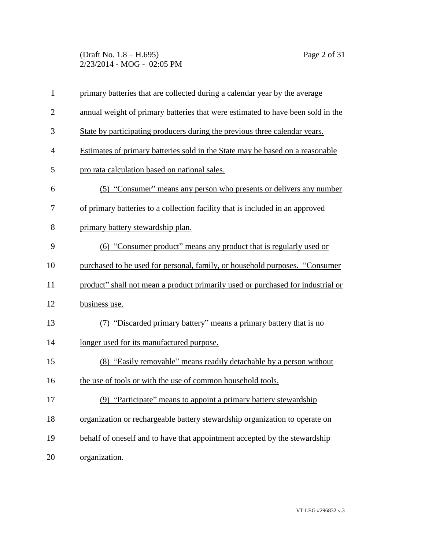(Draft No. 1.8 – H.695) Page 2 of 31 2/23/2014 - MOG - 02:05 PM

| $\mathbf{1}$   | primary batteries that are collected during a calendar year by the average      |
|----------------|---------------------------------------------------------------------------------|
| $\mathbf{2}$   | annual weight of primary batteries that were estimated to have been sold in the |
| 3              | State by participating producers during the previous three calendar years.      |
| $\overline{4}$ | Estimates of primary batteries sold in the State may be based on a reasonable   |
| 5              | pro rata calculation based on national sales.                                   |
| 6              | (5) "Consumer" means any person who presents or delivers any number             |
| 7              | of primary batteries to a collection facility that is included in an approved   |
| 8              | primary battery stewardship plan.                                               |
| 9              | (6) "Consumer product" means any product that is regularly used or              |
| 10             | purchased to be used for personal, family, or household purposes. "Consumer     |
| 11             | product" shall not mean a product primarily used or purchased for industrial or |
| 12             | business use.                                                                   |
| 13             | (7) "Discarded primary battery" means a primary battery that is no              |
| 14             | longer used for its manufactured purpose.                                       |
| 15             | (8) "Easily removable" means readily detachable by a person without             |
| 16             | the use of tools or with the use of common household tools.                     |
| 17             | (9) "Participate" means to appoint a primary battery stewardship                |
| 18             | organization or rechargeable battery stewardship organization to operate on     |
| 19             | behalf of oneself and to have that appointment accepted by the stewardship      |
| 20             | organization.                                                                   |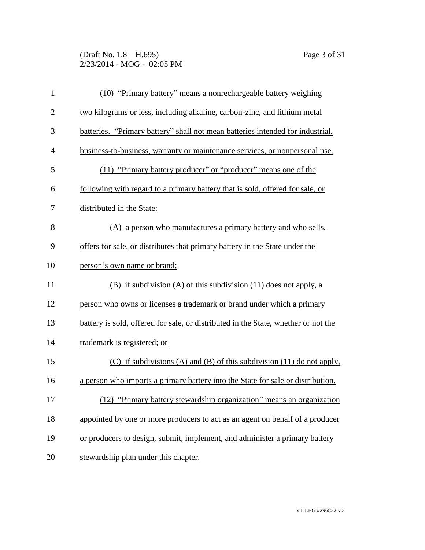(Draft No. 1.8 – H.695) Page 3 of 31 2/23/2014 - MOG - 02:05 PM

| $\mathbf{1}$   | (10) "Primary battery" means a nonrechargeable battery weighing                    |
|----------------|------------------------------------------------------------------------------------|
| $\overline{2}$ | two kilograms or less, including alkaline, carbon-zinc, and lithium metal          |
| 3              | batteries. "Primary battery" shall not mean batteries intended for industrial,     |
| $\overline{4}$ | business-to-business, warranty or maintenance services, or nonpersonal use.        |
| 5              | (11) "Primary battery producer" or "producer" means one of the                     |
| 6              | following with regard to a primary battery that is sold, offered for sale, or      |
| 7              | distributed in the State:                                                          |
| 8              | (A) a person who manufactures a primary battery and who sells,                     |
| 9              | offers for sale, or distributes that primary battery in the State under the        |
| 10             | person's own name or brand;                                                        |
| 11             | (B) if subdivision (A) of this subdivision $(11)$ does not apply, a                |
| 12             | person who owns or licenses a trademark or brand under which a primary             |
| 13             | battery is sold, offered for sale, or distributed in the State, whether or not the |
| 14             | trademark is registered; or                                                        |
| 15             | $(C)$ if subdivisions (A) and (B) of this subdivision (11) do not apply,           |
| 16             | a person who imports a primary battery into the State for sale or distribution.    |
| 17             | (12) "Primary battery stewardship organization" means an organization              |
| 18             | appointed by one or more producers to act as an agent on behalf of a producer      |
| 19             | or producers to design, submit, implement, and administer a primary battery        |
| 20             | stewardship plan under this chapter.                                               |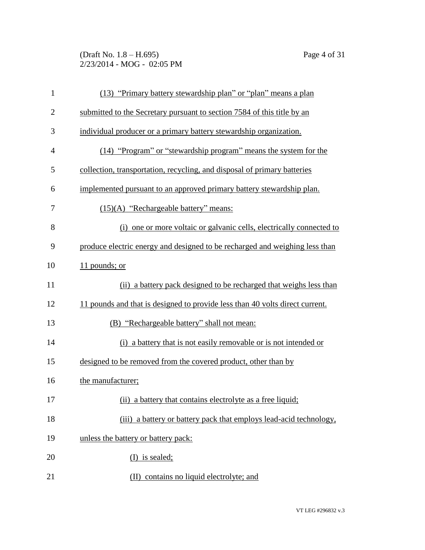(Draft No. 1.8 – H.695) Page 4 of 31 2/23/2014 - MOG - 02:05 PM

| $\mathbf{1}$   | (13) "Primary battery stewardship plan" or "plan" means a plan               |
|----------------|------------------------------------------------------------------------------|
| $\overline{2}$ | submitted to the Secretary pursuant to section 7584 of this title by an      |
| 3              | individual producer or a primary battery stewardship organization.           |
| $\overline{4}$ | (14) "Program" or "stewardship program" means the system for the             |
| 5              | collection, transportation, recycling, and disposal of primary batteries     |
| 6              | implemented pursuant to an approved primary battery stewardship plan.        |
| 7              | $(15)(A)$ "Rechargeable battery" means:                                      |
| 8              | (i) one or more voltaic or galvanic cells, electrically connected to         |
| 9              | produce electric energy and designed to be recharged and weighing less than  |
| 10             | 11 pounds; or                                                                |
| 11             | (ii) a battery pack designed to be recharged that weighs less than           |
| 12             | 11 pounds and that is designed to provide less than 40 volts direct current. |
| 13             | (B) "Rechargeable battery" shall not mean:                                   |
| 14             | (i) a battery that is not easily removable or is not intended or             |
| 15             | designed to be removed from the covered product, other than by               |
| 16             | the manufacturer;                                                            |
| 17             | (ii) a battery that contains electrolyte as a free liquid;                   |
| 18             | (iii) a battery or battery pack that employs lead-acid technology,           |
| 19             | unless the battery or battery pack:                                          |
| 20             | $(I)$ is sealed;                                                             |
| 21             | (II) contains no liquid electrolyte; and                                     |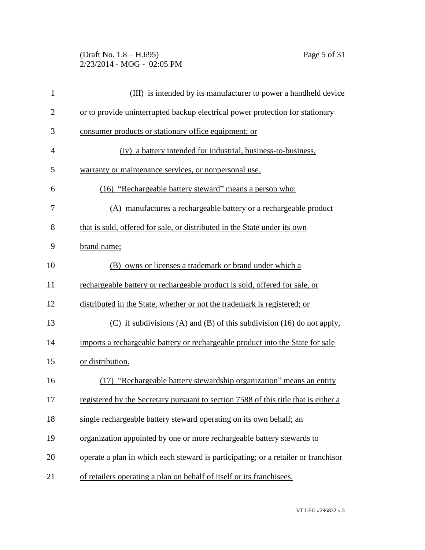(Draft No. 1.8 – H.695) Page 5 of 31 2/23/2014 - MOG - 02:05 PM

| $\mathbf{1}$   | (III) is intended by its manufacturer to power a handheld device                    |
|----------------|-------------------------------------------------------------------------------------|
| $\overline{2}$ | or to provide uninterrupted backup electrical power protection for stationary       |
| 3              | consumer products or stationary office equipment; or                                |
| $\overline{4}$ | (iv) a battery intended for industrial, business-to-business,                       |
| 5              | warranty or maintenance services, or nonpersonal use.                               |
| 6              | (16) "Rechargeable battery steward" means a person who:                             |
| 7              | (A) manufactures a rechargeable battery or a rechargeable product                   |
| 8              | that is sold, offered for sale, or distributed in the State under its own           |
| 9              | brand name;                                                                         |
| 10             | (B) owns or licenses a trademark or brand under which a                             |
| 11             | rechargeable battery or rechargeable product is sold, offered for sale, or          |
| 12             | distributed in the State, whether or not the trademark is registered; or            |
| 13             | $(C)$ if subdivisions (A) and (B) of this subdivision (16) do not apply,            |
| 14             | imports a rechargeable battery or rechargeable product into the State for sale      |
| 15             | or distribution.                                                                    |
| 16             | (17) "Rechargeable battery stewardship organization" means an entity                |
| 17             | registered by the Secretary pursuant to section 7588 of this title that is either a |
| 18             | single rechargeable battery steward operating on its own behalf; an                 |
| 19             | organization appointed by one or more rechargeable battery stewards to              |
| 20             | operate a plan in which each steward is participating; or a retailer or franchisor  |
| 21             | of retailers operating a plan on behalf of itself or its franchisees.               |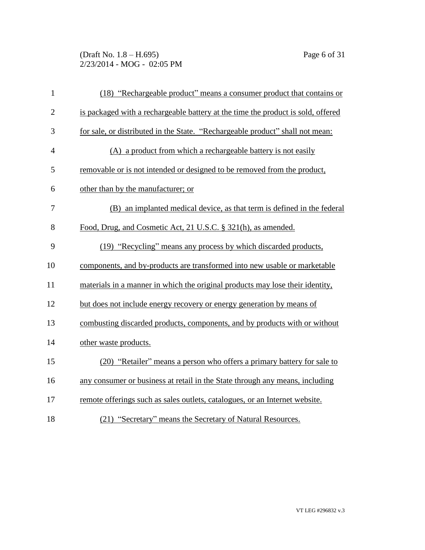(Draft No. 1.8 – H.695) Page 6 of 31 2/23/2014 - MOG - 02:05 PM

| $\mathbf{1}$   | (18) "Rechargeable product" means a consumer product that contains or            |
|----------------|----------------------------------------------------------------------------------|
| $\overline{2}$ | is packaged with a rechargeable battery at the time the product is sold, offered |
| 3              | for sale, or distributed in the State. "Rechargeable product" shall not mean:    |
| $\overline{4}$ | (A) a product from which a rechargeable battery is not easily                    |
| 5              | removable or is not intended or designed to be removed from the product,         |
| 6              | other than by the manufacturer; or                                               |
| 7              | (B) an implanted medical device, as that term is defined in the federal          |
| 8              | Food, Drug, and Cosmetic Act, 21 U.S.C. § 321(h), as amended.                    |
| 9              | (19) "Recycling" means any process by which discarded products,                  |
| 10             | components, and by-products are transformed into new usable or marketable        |
| 11             | materials in a manner in which the original products may lose their identity,    |
| 12             | but does not include energy recovery or energy generation by means of            |
| 13             | combusting discarded products, components, and by products with or without       |
| 14             | other waste products.                                                            |
| 15             | (20) "Retailer" means a person who offers a primary battery for sale to          |
| 16             | any consumer or business at retail in the State through any means, including     |
| 17             | remote offerings such as sales outlets, catalogues, or an Internet website.      |
| 18             | (21) "Secretary" means the Secretary of Natural Resources.                       |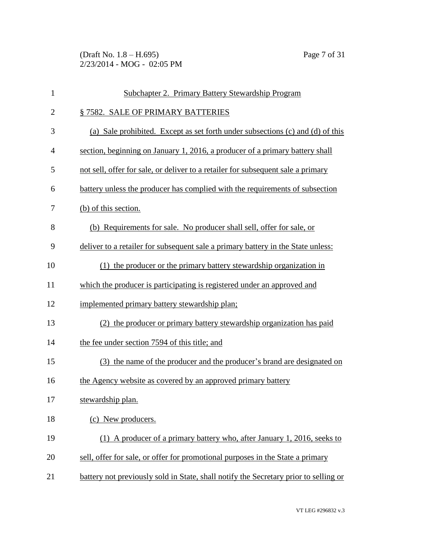(Draft No. 1.8 – H.695) Page 7 of 31 2/23/2014 - MOG - 02:05 PM

| $\mathbf{1}$   | Subchapter 2. Primary Battery Stewardship Program                                    |
|----------------|--------------------------------------------------------------------------------------|
| $\overline{2}$ | § 7582. SALE OF PRIMARY BATTERIES                                                    |
| 3              | (a) Sale prohibited. Except as set forth under subsections (c) and (d) of this       |
| $\overline{4}$ | section, beginning on January 1, 2016, a producer of a primary battery shall         |
| 5              | not sell, offer for sale, or deliver to a retailer for subsequent sale a primary     |
| 6              | battery unless the producer has complied with the requirements of subsection         |
| 7              | (b) of this section.                                                                 |
| 8              | (b) Requirements for sale. No producer shall sell, offer for sale, or                |
| 9              | deliver to a retailer for subsequent sale a primary battery in the State unless:     |
| 10             | (1) the producer or the primary battery stewardship organization in                  |
| 11             | which the producer is participating is registered under an approved and              |
| 12             | implemented primary battery stewardship plan;                                        |
| 13             | (2) the producer or primary battery stewardship organization has paid                |
| 14             | the fee under section 7594 of this title; and                                        |
| 15             | (3) the name of the producer and the producer's brand are designated on              |
| 16             | the Agency website as covered by an approved primary battery                         |
| 17             | stewardship plan.                                                                    |
| 18             | (c) New producers.                                                                   |
| 19             | (1) A producer of a primary battery who, after January 1, 2016, seeks to             |
| 20             | sell, offer for sale, or offer for promotional purposes in the State a primary       |
| 21             | battery not previously sold in State, shall notify the Secretary prior to selling or |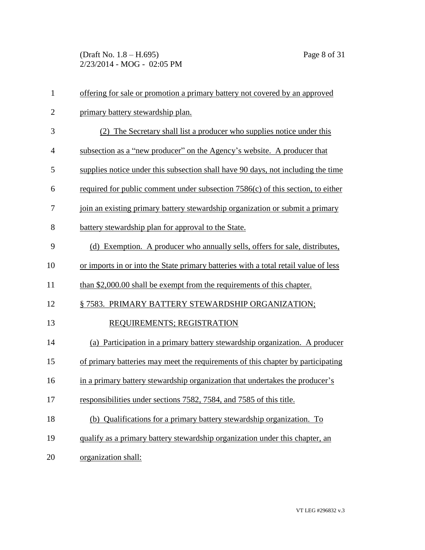(Draft No. 1.8 – H.695) Page 8 of 31 2/23/2014 - MOG - 02:05 PM

| $\mathbf{1}$   | offering for sale or promotion a primary battery not covered by an approved         |
|----------------|-------------------------------------------------------------------------------------|
| $\overline{2}$ | primary battery stewardship plan.                                                   |
| 3              | (2) The Secretary shall list a producer who supplies notice under this              |
| $\overline{4}$ | subsection as a "new producer" on the Agency's website. A producer that             |
| 5              | supplies notice under this subsection shall have 90 days, not including the time    |
| 6              | required for public comment under subsection $7586(c)$ of this section, to either   |
| 7              | join an existing primary battery stewardship organization or submit a primary       |
| 8              | battery stewardship plan for approval to the State.                                 |
| 9              | (d) Exemption. A producer who annually sells, offers for sale, distributes,         |
| 10             | or imports in or into the State primary batteries with a total retail value of less |
| 11             | than \$2,000.00 shall be exempt from the requirements of this chapter.              |
| 12             | § 7583. PRIMARY BATTERY STEWARDSHIP ORGANIZATION;                                   |
| 13             | REQUIREMENTS; REGISTRATION                                                          |
| 14             | (a) Participation in a primary battery stewardship organization. A producer         |
| 15             | of primary batteries may meet the requirements of this chapter by participating     |
| 16             | in a primary battery stewardship organization that undertakes the producer's        |
| 17             | responsibilities under sections 7582, 7584, and 7585 of this title.                 |
| 18             | (b) Qualifications for a primary battery stewardship organization. To               |
| 19             | qualify as a primary battery stewardship organization under this chapter, an        |
| 20             | organization shall:                                                                 |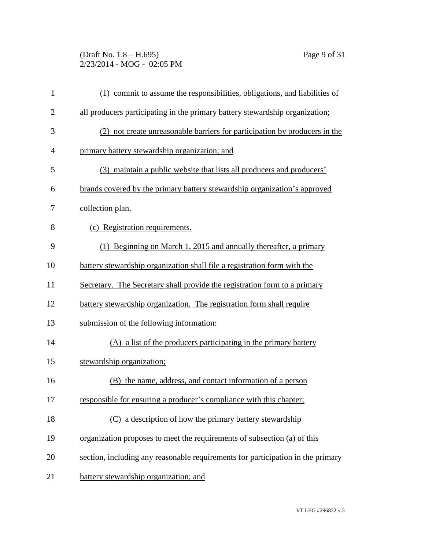(Draft No. 1.8 – H.695) Page 9 of 31 2/23/2014 - MOG - 02:05 PM

| $\mathbf{1}$   | (1) commit to assume the responsibilities, obligations, and liabilities of      |
|----------------|---------------------------------------------------------------------------------|
| $\overline{c}$ | all producers participating in the primary battery stewardship organization;    |
| 3              | (2) not create unreasonable barriers for participation by producers in the      |
| 4              | primary battery stewardship organization; and                                   |
| 5              | (3) maintain a public website that lists all producers and producers'           |
| 6              | brands covered by the primary battery stewardship organization's approved       |
| 7              | collection plan.                                                                |
| 8              | (c) Registration requirements.                                                  |
| 9              | (1) Beginning on March 1, 2015 and annually thereafter, a primary               |
| 10             | battery stewardship organization shall file a registration form with the        |
| 11             | Secretary. The Secretary shall provide the registration form to a primary       |
| 12             | battery stewardship organization. The registration form shall require           |
| 13             | submission of the following information:                                        |
| 14             | (A) a list of the producers participating in the primary battery                |
| 15             | stewardship organization;                                                       |
| 16             | (B) the name, address, and contact information of a person                      |
| 17             | responsible for ensuring a producer's compliance with this chapter;             |
| 18             | (C) a description of how the primary battery stewardship                        |
| 19             | organization proposes to meet the requirements of subsection (a) of this        |
| 20             | section, including any reasonable requirements for participation in the primary |
| 21             | battery stewardship organization; and                                           |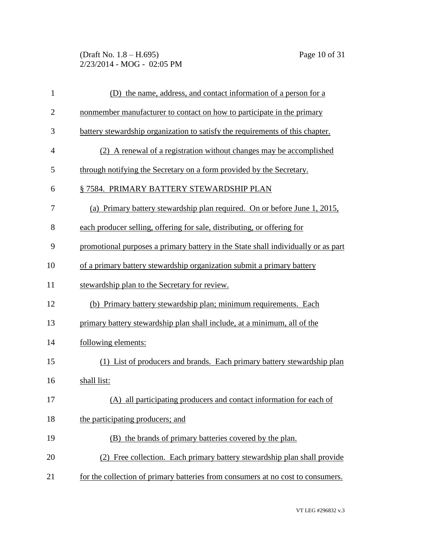(Draft No. 1.8 – H.695) Page 10 of 31 2/23/2014 - MOG - 02:05 PM

| $\mathbf{1}$   | (D) the name, address, and contact information of a person for a                  |
|----------------|-----------------------------------------------------------------------------------|
| $\overline{2}$ | nonmember manufacturer to contact on how to participate in the primary            |
| 3              | battery stewardship organization to satisfy the requirements of this chapter.     |
| $\overline{4}$ | (2) A renewal of a registration without changes may be accomplished               |
| 5              | through notifying the Secretary on a form provided by the Secretary.              |
| 6              | § 7584. PRIMARY BATTERY STEWARDSHIP PLAN                                          |
| 7              | (a) Primary battery stewardship plan required. On or before June 1, 2015,         |
| 8              | each producer selling, offering for sale, distributing, or offering for           |
| 9              | promotional purposes a primary battery in the State shall individually or as part |
| 10             | of a primary battery stewardship organization submit a primary battery            |
| 11             | stewardship plan to the Secretary for review.                                     |
| 12             | (b) Primary battery stewardship plan; minimum requirements. Each                  |
| 13             | primary battery stewardship plan shall include, at a minimum, all of the          |
| 14             | following elements:                                                               |
| 15             | (1) List of producers and brands. Each primary battery stewardship plan           |
| 16             | shall list:                                                                       |
| 17             | (A) all participating producers and contact information for each of               |
| 18             | the participating producers; and                                                  |
| 19             | (B) the brands of primary batteries covered by the plan.                          |
| 20             | (2) Free collection. Each primary battery stewardship plan shall provide          |
| 21             | for the collection of primary batteries from consumers at no cost to consumers.   |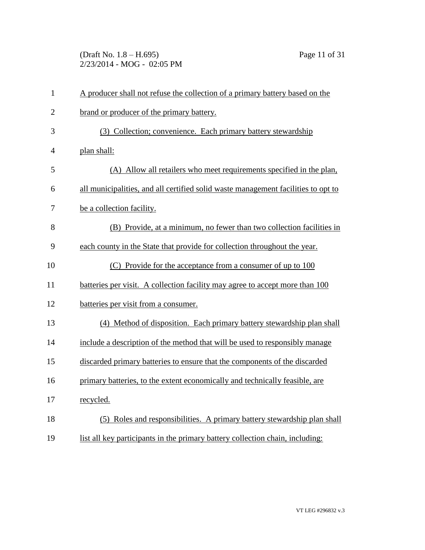(Draft No. 1.8 – H.695) Page 11 of 31 2/23/2014 - MOG - 02:05 PM

| $\mathbf{1}$   | A producer shall not refuse the collection of a primary battery based on the      |
|----------------|-----------------------------------------------------------------------------------|
| $\overline{2}$ | brand or producer of the primary battery.                                         |
| 3              | (3) Collection; convenience. Each primary battery stewardship                     |
| 4              | plan shall:                                                                       |
| 5              | (A) Allow all retailers who meet requirements specified in the plan,              |
| 6              | all municipalities, and all certified solid waste management facilities to opt to |
| 7              | be a collection facility.                                                         |
| 8              | (B) Provide, at a minimum, no fewer than two collection facilities in             |
| 9              | each county in the State that provide for collection throughout the year.         |
| 10             | (C) Provide for the acceptance from a consumer of up to 100                       |
| 11             | batteries per visit. A collection facility may agree to accept more than 100      |
| 12             | batteries per visit from a consumer.                                              |
| 13             | (4) Method of disposition. Each primary battery stewardship plan shall            |
| 14             | include a description of the method that will be used to responsibly manage       |
| 15             | discarded primary batteries to ensure that the components of the discarded        |
| 16             | primary batteries, to the extent economically and technically feasible, are       |
| 17             | recycled.                                                                         |
| 18             | (5) Roles and responsibilities. A primary battery stewardship plan shall          |
| 19             | list all key participants in the primary battery collection chain, including:     |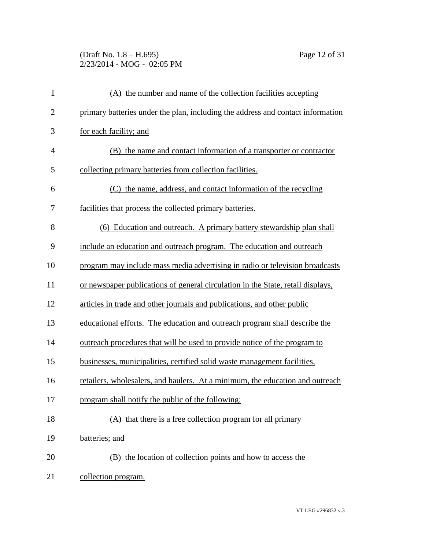(Draft No. 1.8 – H.695) Page 12 of 31 2/23/2014 - MOG - 02:05 PM

| $\mathbf{1}$   | (A) the number and name of the collection facilities accepting                   |
|----------------|----------------------------------------------------------------------------------|
| $\overline{2}$ | primary batteries under the plan, including the address and contact information  |
| 3              | for each facility; and                                                           |
| 4              | (B) the name and contact information of a transporter or contractor              |
| 5              | collecting primary batteries from collection facilities.                         |
| 6              | (C) the name, address, and contact information of the recycling                  |
| 7              | facilities that process the collected primary batteries.                         |
| 8              | (6) Education and outreach. A primary battery stewardship plan shall             |
| 9              | include an education and outreach program. The education and outreach            |
| 10             | program may include mass media advertising in radio or television broadcasts     |
| 11             | or newspaper publications of general circulation in the State, retail displays,  |
| 12             | articles in trade and other journals and publications, and other public          |
| 13             | educational efforts. The education and outreach program shall describe the       |
| 14             | <u>outreach procedures that will be used to provide notice of the program to</u> |
| 15             | businesses, municipalities, certified solid waste management facilities,         |
| 16             | retailers, wholesalers, and haulers. At a minimum, the education and outreach    |
| 17             | program shall notify the public of the following:                                |
| 18             | (A) that there is a free collection program for all primary                      |
| 19             | batteries; and                                                                   |
| 20             | (B) the location of collection points and how to access the                      |
| 21             | collection program.                                                              |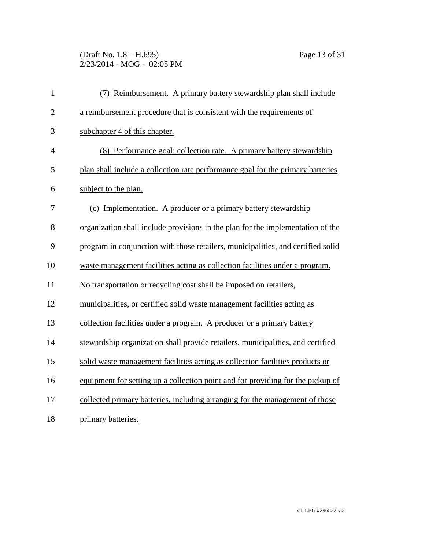(Draft No. 1.8 – H.695) Page 13 of 31 2/23/2014 - MOG - 02:05 PM

| $\mathbf{1}$   | (7) Reimbursement. A primary battery stewardship plan shall include              |
|----------------|----------------------------------------------------------------------------------|
| $\overline{2}$ | a reimbursement procedure that is consistent with the requirements of            |
| 3              | subchapter 4 of this chapter.                                                    |
| $\overline{4}$ | (8) Performance goal; collection rate. A primary battery stewardship             |
| 5              | plan shall include a collection rate performance goal for the primary batteries  |
| 6              | subject to the plan.                                                             |
| 7              | (c) Implementation. A producer or a primary battery stewardship                  |
| 8              | organization shall include provisions in the plan for the implementation of the  |
| 9              | program in conjunction with those retailers, municipalities, and certified solid |
| 10             | waste management facilities acting as collection facilities under a program.     |
| 11             | No transportation or recycling cost shall be imposed on retailers,               |
| 12             | municipalities, or certified solid waste management facilities acting as         |
| 13             | collection facilities under a program. A producer or a primary battery           |
| 14             | stewardship organization shall provide retailers, municipalities, and certified  |
| 15             | solid waste management facilities acting as collection facilities products or    |
| 16             | equipment for setting up a collection point and for providing for the pickup of  |
| 17             | collected primary batteries, including arranging for the management of those     |
| 18             | primary batteries.                                                               |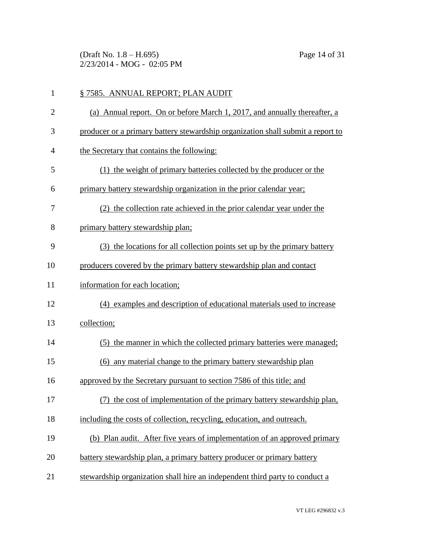(Draft No. 1.8 – H.695) Page 14 of 31 2/23/2014 - MOG - 02:05 PM

| $\mathbf{1}$   | § 7585. ANNUAL REPORT; PLAN AUDIT                                               |
|----------------|---------------------------------------------------------------------------------|
| $\overline{2}$ | (a) Annual report. On or before March 1, 2017, and annually thereafter, a       |
| 3              | producer or a primary battery stewardship organization shall submit a report to |
| 4              | the Secretary that contains the following:                                      |
| 5              | (1) the weight of primary batteries collected by the producer or the            |
| 6              | primary battery stewardship organization in the prior calendar year;            |
| 7              | (2) the collection rate achieved in the prior calendar year under the           |
| 8              | primary battery stewardship plan;                                               |
| 9              | (3) the locations for all collection points set up by the primary battery       |
| 10             | producers covered by the primary battery stewardship plan and contact           |
| 11             | information for each location;                                                  |
| 12             | (4) examples and description of educational materials used to increase          |
| 13             | collection;                                                                     |
| 14             | (5) the manner in which the collected primary batteries were managed;           |
| 15             | (6) any material change to the primary battery stewardship plan                 |
| 16             | approved by the Secretary pursuant to section 7586 of this title; and           |
| 17             | (7) the cost of implementation of the primary battery stewardship plan,         |
| 18             | including the costs of collection, recycling, education, and outreach.          |
| 19             | (b) Plan audit. After five years of implementation of an approved primary       |
| 20             | battery stewardship plan, a primary battery producer or primary battery         |
| 21             | stewardship organization shall hire an independent third party to conduct a     |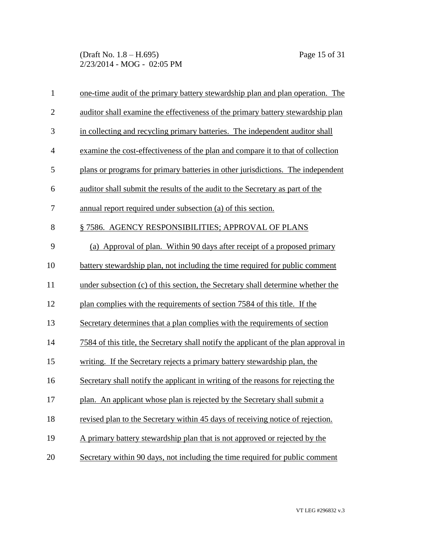(Draft No. 1.8 – H.695) Page 15 of 31 2/23/2014 - MOG - 02:05 PM

| $\mathbf{1}$   | one-time audit of the primary battery stewardship plan and plan operation. The              |
|----------------|---------------------------------------------------------------------------------------------|
| $\mathbf{2}$   | auditor shall examine the effectiveness of the primary battery stewardship plan             |
| 3              | in collecting and recycling primary batteries. The independent auditor shall                |
| $\overline{4}$ | examine the cost-effectiveness of the plan and compare it to that of collection             |
| 5              | plans or programs for primary batteries in other jurisdictions. The independent             |
| 6              | auditor shall submit the results of the audit to the Secretary as part of the               |
| 7              | annual report required under subsection (a) of this section.                                |
| 8              | § 7586. AGENCY RESPONSIBILITIES; APPROVAL OF PLANS                                          |
| 9              | (a) Approval of plan. Within 90 days after receipt of a proposed primary                    |
| 10             | battery stewardship plan, not including the time required for public comment                |
| 11             | under subsection (c) of this section, the Secretary shall determine whether the             |
| 12             | plan complies with the requirements of section 7584 of this title. If the                   |
| 13             | Secretary determines that a plan complies with the requirements of section                  |
| 14             | <u>7584 of this title, the Secretary shall notify the applicant of the plan approval in</u> |
| 15             | writing. If the Secretary rejects a primary battery stewardship plan, the                   |
| 16             | Secretary shall notify the applicant in writing of the reasons for rejecting the            |
| 17             | plan. An applicant whose plan is rejected by the Secretary shall submit a                   |
| 18             | revised plan to the Secretary within 45 days of receiving notice of rejection.              |
| 19             | A primary battery stewardship plan that is not approved or rejected by the                  |
| 20             | Secretary within 90 days, not including the time required for public comment                |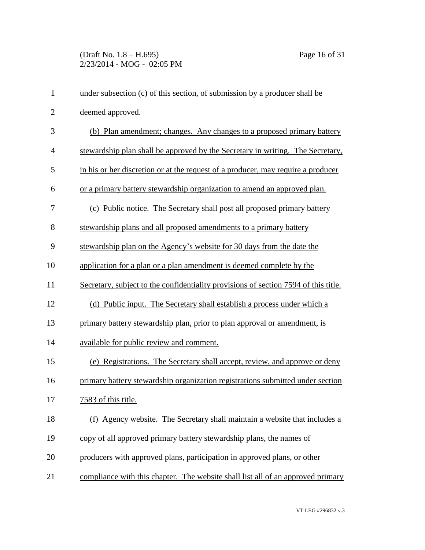(Draft No. 1.8 – H.695) Page 16 of 31 2/23/2014 - MOG - 02:05 PM

| $\mathbf{1}$   | under subsection (c) of this section, of submission by a producer shall be          |
|----------------|-------------------------------------------------------------------------------------|
| $\overline{2}$ | deemed approved.                                                                    |
| 3              | (b) Plan amendment; changes. Any changes to a proposed primary battery              |
| $\overline{4}$ | stewardship plan shall be approved by the Secretary in writing. The Secretary,      |
| 5              | in his or her discretion or at the request of a producer, may require a producer    |
| 6              | or a primary battery stewardship organization to amend an approved plan.            |
| 7              | (c) Public notice. The Secretary shall post all proposed primary battery            |
| 8              | stewardship plans and all proposed amendments to a primary battery                  |
| 9              | stewardship plan on the Agency's website for 30 days from the date the              |
| 10             | application for a plan or a plan amendment is deemed complete by the                |
| 11             | Secretary, subject to the confidentiality provisions of section 7594 of this title. |
| 12             | (d) Public input. The Secretary shall establish a process under which a             |
| 13             | primary battery stewardship plan, prior to plan approval or amendment, is           |
| 14             | available for public review and comment.                                            |
| 15             | (e) Registrations. The Secretary shall accept, review, and approve or deny          |
| 16             | primary battery stewardship organization registrations submitted under section      |
| 17             | 7583 of this title.                                                                 |
| 18             | (f) Agency website. The Secretary shall maintain a website that includes a          |
| 19             | copy of all approved primary battery stewardship plans, the names of                |
| 20             | producers with approved plans, participation in approved plans, or other            |
| 21             | compliance with this chapter. The website shall list all of an approved primary     |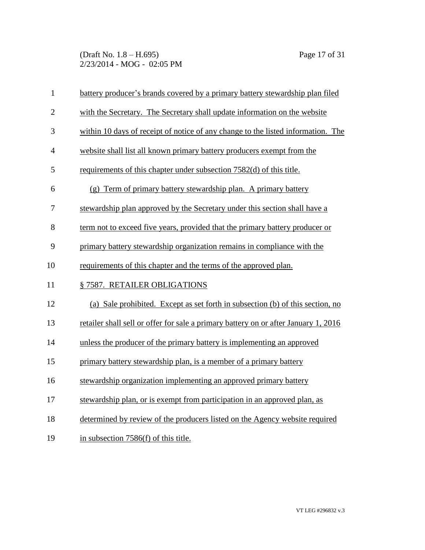(Draft No. 1.8 – H.695) Page 17 of 31 2/23/2014 - MOG - 02:05 PM

| $\mathbf{1}$   | battery producer's brands covered by a primary battery stewardship plan filed       |
|----------------|-------------------------------------------------------------------------------------|
| $\overline{2}$ | with the Secretary. The Secretary shall update information on the website           |
| 3              | within 10 days of receipt of notice of any change to the listed information. The    |
| $\overline{4}$ | website shall list all known primary battery producers exempt from the              |
| 5              | requirements of this chapter under subsection 7582(d) of this title.                |
| 6              | (g) Term of primary battery stewardship plan. A primary battery                     |
| 7              | stewardship plan approved by the Secretary under this section shall have a          |
| 8              | term not to exceed five years, provided that the primary battery producer or        |
| 9              | primary battery stewardship organization remains in compliance with the             |
| 10             | requirements of this chapter and the terms of the approved plan.                    |
| 11             | § 7587. RETAILER OBLIGATIONS                                                        |
| 12             | (a) Sale prohibited. Except as set forth in subsection (b) of this section, no      |
| 13             | retailer shall sell or offer for sale a primary battery on or after January 1, 2016 |
| 14             | unless the producer of the primary battery is implementing an approved              |
| 15             | primary battery stewardship plan, is a member of a primary battery                  |
| 16             | stewardship organization implementing an approved primary battery                   |
| 17             | stewardship plan, or is exempt from participation in an approved plan, as           |
| 18             | determined by review of the producers listed on the Agency website required         |
| 19             | in subsection 7586(f) of this title.                                                |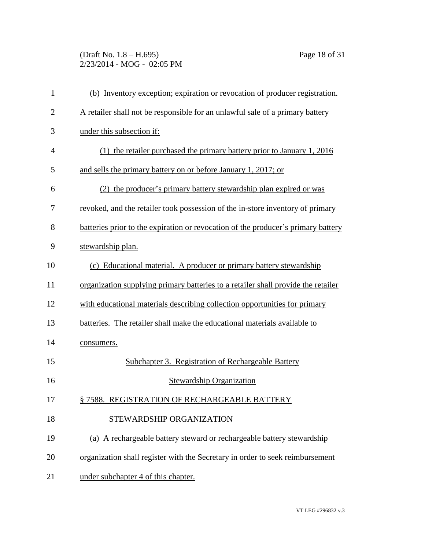(Draft No. 1.8 – H.695) Page 18 of 31 2/23/2014 - MOG - 02:05 PM

| $\mathbf{1}$   | (b) Inventory exception; expiration or revocation of producer registration.       |
|----------------|-----------------------------------------------------------------------------------|
| $\overline{2}$ | A retailer shall not be responsible for an unlawful sale of a primary battery     |
| 3              | under this subsection if:                                                         |
| $\overline{4}$ | (1) the retailer purchased the primary battery prior to January 1, 2016           |
| 5              | and sells the primary battery on or before January 1, 2017; or                    |
| 6              | (2) the producer's primary battery stewardship plan expired or was                |
| 7              | revoked, and the retailer took possession of the in-store inventory of primary    |
| 8              | batteries prior to the expiration or revocation of the producer's primary battery |
| 9              | stewardship plan.                                                                 |
| 10             | (c) Educational material. A producer or primary battery stewardship               |
| 11             | organization supplying primary batteries to a retailer shall provide the retailer |
| 12             | with educational materials describing collection opportunities for primary        |
| 13             | batteries. The retailer shall make the educational materials available to         |
| 14             | consumers.                                                                        |
| 15             | Subchapter 3. Registration of Rechargeable Battery                                |
| 16             | <b>Stewardship Organization</b>                                                   |
| 17             | § 7588. REGISTRATION OF RECHARGEABLE BATTERY                                      |
| 18             | STEWARDSHIP ORGANIZATION                                                          |
| 19             | (a) A rechargeable battery steward or rechargeable battery stewardship            |
| 20             | organization shall register with the Secretary in order to seek reimbursement     |
| 21             | under subchapter 4 of this chapter.                                               |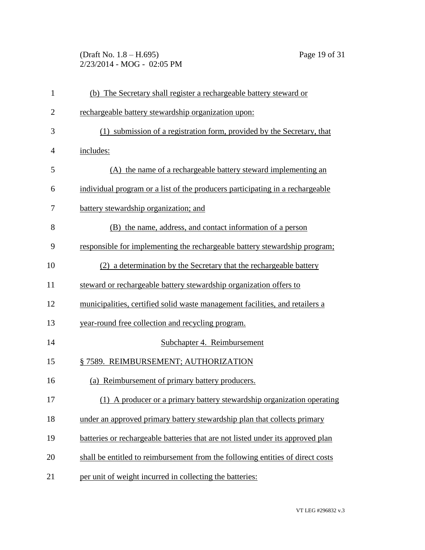(Draft No. 1.8 – H.695) Page 19 of 31 2/23/2014 - MOG - 02:05 PM

| $\mathbf{1}$   | (b) The Secretary shall register a rechargeable battery steward or              |
|----------------|---------------------------------------------------------------------------------|
| $\overline{c}$ | rechargeable battery stewardship organization upon:                             |
| 3              | (1) submission of a registration form, provided by the Secretary, that          |
| 4              | includes:                                                                       |
| 5              | (A) the name of a rechargeable battery steward implementing an                  |
| 6              | individual program or a list of the producers participating in a rechargeable   |
| 7              | battery stewardship organization; and                                           |
| 8              | (B) the name, address, and contact information of a person                      |
| 9              | responsible for implementing the rechargeable battery stewardship program;      |
| 10             | (2) a determination by the Secretary that the rechargeable battery              |
| 11             | steward or rechargeable battery stewardship organization offers to              |
| 12             | municipalities, certified solid waste management facilities, and retailers a    |
| 13             | year-round free collection and recycling program.                               |
| 14             | Subchapter 4. Reimbursement                                                     |
| 15             | § 7589. REIMBURSEMENT; AUTHORIZATION                                            |
| 16             | (a) Reimbursement of primary battery producers.                                 |
| 17             | (1) A producer or a primary battery stewardship organization operating          |
| 18             | under an approved primary battery stewardship plan that collects primary        |
| 19             | batteries or rechargeable batteries that are not listed under its approved plan |
| 20             | shall be entitled to reimbursement from the following entities of direct costs  |
| 21             | per unit of weight incurred in collecting the batteries:                        |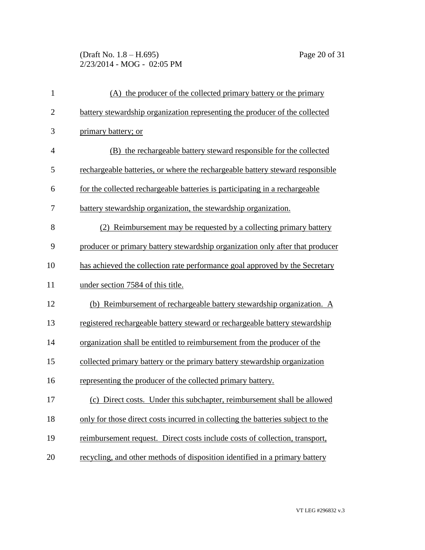(Draft No. 1.8 – H.695) Page 20 of 31 2/23/2014 - MOG - 02:05 PM

| $\mathbf{1}$   | (A) the producer of the collected primary battery or the primary                |
|----------------|---------------------------------------------------------------------------------|
| $\overline{2}$ | battery stewardship organization representing the producer of the collected     |
| 3              | primary battery; or                                                             |
| 4              | (B) the rechargeable battery steward responsible for the collected              |
| 5              | rechargeable batteries, or where the rechargeable battery steward responsible   |
| 6              | for the collected rechargeable batteries is participating in a rechargeable     |
| 7              | battery stewardship organization, the stewardship organization.                 |
| 8              | (2) Reimbursement may be requested by a collecting primary battery              |
| 9              | producer or primary battery stewardship organization only after that producer   |
| 10             | has achieved the collection rate performance goal approved by the Secretary     |
| 11             | under section 7584 of this title.                                               |
| 12             | (b) Reimbursement of rechargeable battery stewardship organization. A           |
| 13             | registered rechargeable battery steward or rechargeable battery stewardship     |
| 14             | organization shall be entitled to reimbursement from the producer of the        |
| 15             | collected primary battery or the primary battery stewardship organization       |
| 16             | representing the producer of the collected primary battery.                     |
| 17             | (c)<br>Direct costs. Under this subchapter, reimbursement shall be allowed      |
| 18             | only for those direct costs incurred in collecting the batteries subject to the |
| 19             | reimbursement request. Direct costs include costs of collection, transport,     |
| 20             | recycling, and other methods of disposition identified in a primary battery     |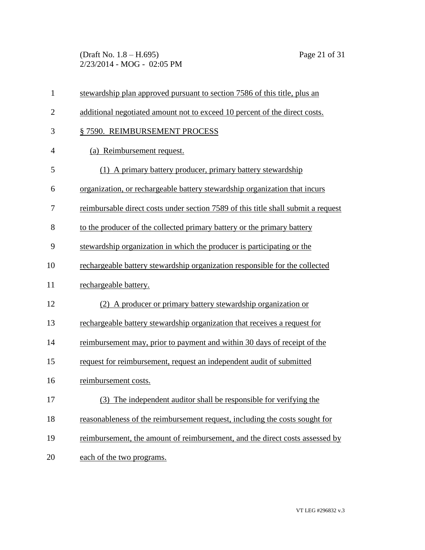(Draft No. 1.8 – H.695) Page 21 of 31 2/23/2014 - MOG - 02:05 PM

| $\mathbf{1}$   | stewardship plan approved pursuant to section 7586 of this title, plus an         |
|----------------|-----------------------------------------------------------------------------------|
| $\overline{2}$ | additional negotiated amount not to exceed 10 percent of the direct costs.        |
| 3              | § 7590. REIMBURSEMENT PROCESS                                                     |
| $\overline{4}$ | (a) Reimbursement request.                                                        |
| 5              | (1) A primary battery producer, primary battery stewardship                       |
| 6              | organization, or rechargeable battery stewardship organization that incurs        |
| 7              | reimbursable direct costs under section 7589 of this title shall submit a request |
| 8              | to the producer of the collected primary battery or the primary battery           |
| 9              | stewardship organization in which the producer is participating or the            |
| 10             | rechargeable battery stewardship organization responsible for the collected       |
| 11             | rechargeable battery.                                                             |
| 12             | (2) A producer or primary battery stewardship organization or                     |
| 13             | rechargeable battery stewardship organization that receives a request for         |
| 14             | reimbursement may, prior to payment and within 30 days of receipt of the          |
| 15             | request for reimbursement, request an independent audit of submitted              |
| 16             | reimbursement costs.                                                              |
| 17             | (3) The independent auditor shall be responsible for verifying the                |
| 18             | reasonableness of the reimbursement request, including the costs sought for       |
| 19             | reimbursement, the amount of reimbursement, and the direct costs assessed by      |
| 20             | each of the two programs.                                                         |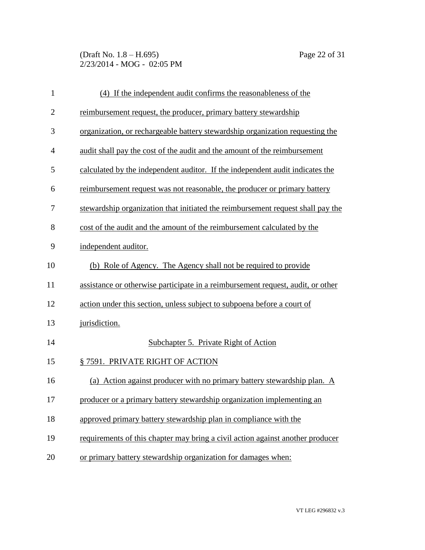(Draft No. 1.8 – H.695) Page 22 of 31 2/23/2014 - MOG - 02:05 PM

| $\mathbf{1}$   | (4) If the independent audit confirms the reasonableness of the                 |
|----------------|---------------------------------------------------------------------------------|
| $\overline{2}$ | reimbursement request, the producer, primary battery stewardship                |
| 3              | organization, or rechargeable battery stewardship organization requesting the   |
| $\overline{4}$ | audit shall pay the cost of the audit and the amount of the reimbursement       |
| 5              | calculated by the independent auditor. If the independent audit indicates the   |
| 6              | reimbursement request was not reasonable, the producer or primary battery       |
| 7              | stewardship organization that initiated the reimbursement request shall pay the |
| 8              | cost of the audit and the amount of the reimbursement calculated by the         |
| 9              | independent auditor.                                                            |
| 10             | (b) Role of Agency. The Agency shall not be required to provide                 |
| 11             | assistance or otherwise participate in a reimbursement request, audit, or other |
| 12             | action under this section, unless subject to subpoena before a court of         |
| 13             | jurisdiction.                                                                   |
| 14             | Subchapter 5. Private Right of Action                                           |
| 15             | § 7591. PRIVATE RIGHT OF ACTION                                                 |
| 16             | (a) Action against producer with no primary battery stewardship plan. A         |
| 17             | producer or a primary battery stewardship organization implementing an          |
| 18             | approved primary battery stewardship plan in compliance with the                |
| 19             | requirements of this chapter may bring a civil action against another producer  |
| 20             | or primary battery stewardship organization for damages when:                   |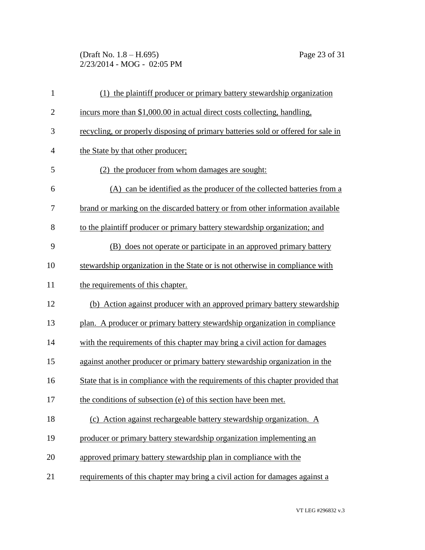(Draft No. 1.8 – H.695) Page 23 of 31 2/23/2014 - MOG - 02:05 PM

| $\mathbf{1}$   | (1) the plaintiff producer or primary battery stewardship organization            |
|----------------|-----------------------------------------------------------------------------------|
| $\overline{2}$ | incurs more than \$1,000.00 in actual direct costs collecting, handling,          |
| 3              | recycling, or properly disposing of primary batteries sold or offered for sale in |
| $\overline{4}$ | the State by that other producer;                                                 |
| 5              | (2) the producer from whom damages are sought:                                    |
| 6              | (A) can be identified as the producer of the collected batteries from a           |
| 7              | brand or marking on the discarded battery or from other information available     |
| 8              | to the plaintiff producer or primary battery stewardship organization; and        |
| 9              | (B) does not operate or participate in an approved primary battery                |
| 10             | stewardship organization in the State or is not otherwise in compliance with      |
| 11             | the requirements of this chapter.                                                 |
| 12             | (b) Action against producer with an approved primary battery stewardship          |
| 13             | plan. A producer or primary battery stewardship organization in compliance        |
| 14             | with the requirements of this chapter may bring a civil action for damages        |
| 15             | against another producer or primary battery stewardship organization in the       |
| 16             | State that is in compliance with the requirements of this chapter provided that   |
| 17             | the conditions of subsection (e) of this section have been met.                   |
| 18             | (c) Action against rechargeable battery stewardship organization. A               |
| 19             | producer or primary battery stewardship organization implementing an              |
| 20             | approved primary battery stewardship plan in compliance with the                  |
| 21             | requirements of this chapter may bring a civil action for damages against a       |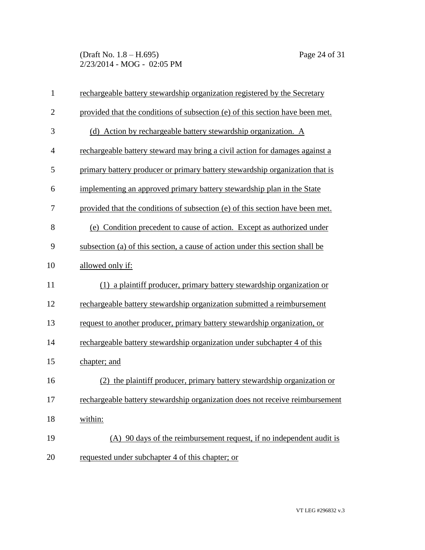(Draft No. 1.8 – H.695) Page 24 of 31 2/23/2014 - MOG - 02:05 PM

| $\mathbf{1}$   | rechargeable battery stewardship organization registered by the Secretary     |
|----------------|-------------------------------------------------------------------------------|
| $\overline{2}$ | provided that the conditions of subsection (e) of this section have been met. |
| 3              | (d) Action by rechargeable battery stewardship organization. A                |
| $\overline{4}$ | rechargeable battery steward may bring a civil action for damages against a   |
| 5              | primary battery producer or primary battery stewardship organization that is  |
| 6              | implementing an approved primary battery stewardship plan in the State        |
| 7              | provided that the conditions of subsection (e) of this section have been met. |
| 8              | (e) Condition precedent to cause of action. Except as authorized under        |
| 9              | subsection (a) of this section, a cause of action under this section shall be |
| 10             | allowed only if:                                                              |
| 11             | (1) a plaintiff producer, primary battery stewardship organization or         |
| 12             | rechargeable battery stewardship organization submitted a reimbursement       |
| 13             | request to another producer, primary battery stewardship organization, or     |
| 14             | rechargeable battery stewardship organization under subchapter 4 of this      |
| 15             | chapter; and                                                                  |
| 16             | the plaintiff producer, primary battery stewardship organization or<br>(2)    |
| 17             | rechargeable battery stewardship organization does not receive reimbursement  |
| 18             | within:                                                                       |
| 19             | (A) 90 days of the reimbursement request, if no independent audit is          |
| 20             | requested under subchapter 4 of this chapter; or                              |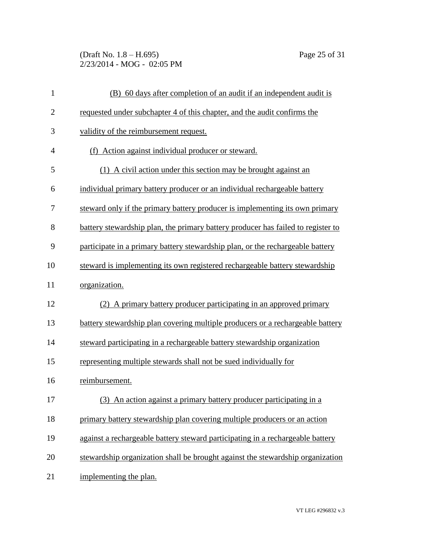(Draft No. 1.8 – H.695) Page 25 of 31 2/23/2014 - MOG - 02:05 PM

| $\mathbf{1}$   | (B) 60 days after completion of an audit if an independent audit is              |
|----------------|----------------------------------------------------------------------------------|
| $\mathbf{2}$   | requested under subchapter 4 of this chapter, and the audit confirms the         |
| 3              | validity of the reimbursement request.                                           |
| $\overline{4}$ | (f) Action against individual producer or steward.                               |
| 5              | (1) A civil action under this section may be brought against an                  |
| 6              | individual primary battery producer or an individual rechargeable battery        |
| 7              | steward only if the primary battery producer is implementing its own primary     |
| 8              | battery stewardship plan, the primary battery producer has failed to register to |
| 9              | participate in a primary battery stewardship plan, or the rechargeable battery   |
| 10             | steward is implementing its own registered rechargeable battery stewardship      |
| 11             | organization.                                                                    |
| 12             | (2) A primary battery producer participating in an approved primary              |
| 13             | battery stewardship plan covering multiple producers or a rechargeable battery   |
| 14             | steward participating in a rechargeable battery stewardship organization         |
| 15             | representing multiple stewards shall not be sued individually for                |
| 16             | reimbursement.                                                                   |
| 17             | (3) An action against a primary battery producer participating in a              |
| 18             | primary battery stewardship plan covering multiple producers or an action        |
| 19             | against a rechargeable battery steward participating in a rechargeable battery   |
| 20             | stewardship organization shall be brought against the stewardship organization   |
| 21             | implementing the plan.                                                           |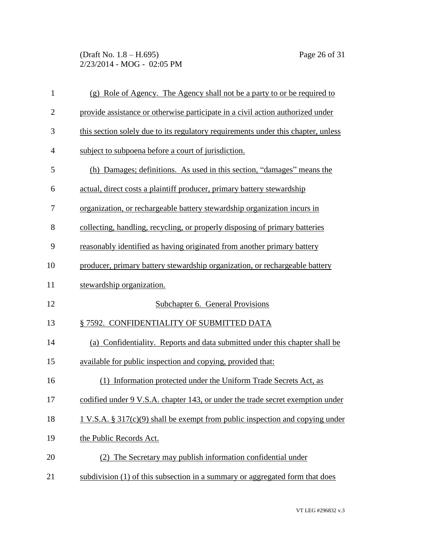(Draft No. 1.8 – H.695) Page 26 of 31 2/23/2014 - MOG - 02:05 PM

| $\mathbf{1}$   | (g) Role of Agency. The Agency shall not be a party to or be required to          |
|----------------|-----------------------------------------------------------------------------------|
| $\overline{2}$ | provide assistance or otherwise participate in a civil action authorized under    |
| 3              | this section solely due to its regulatory requirements under this chapter, unless |
| $\overline{4}$ | subject to subpoena before a court of jurisdiction.                               |
| 5              | (h) Damages; definitions. As used in this section, "damages" means the            |
| 6              | actual, direct costs a plaintiff producer, primary battery stewardship            |
| 7              | organization, or rechargeable battery stewardship organization incurs in          |
| 8              | collecting, handling, recycling, or properly disposing of primary batteries       |
| 9              | reasonably identified as having originated from another primary battery           |
| 10             | producer, primary battery stewardship organization, or rechargeable battery       |
| 11             | stewardship organization.                                                         |
| 12             | Subchapter 6. General Provisions                                                  |
| 13             | § 7592. CONFIDENTIALITY OF SUBMITTED DATA                                         |
| 14             | (a) Confidentiality. Reports and data submitted under this chapter shall be       |
| 15             | available for public inspection and copying, provided that:                       |
| 16             | Information protected under the Uniform Trade Secrets Act, as                     |
| 17             | codified under 9 V.S.A. chapter 143, or under the trade secret exemption under    |
| 18             | 1 V.S.A. $\S 317(c)(9)$ shall be exempt from public inspection and copying under  |
| 19             | the Public Records Act.                                                           |
| 20             | (2) The Secretary may publish information confidential under                      |
| 21             | subdivision (1) of this subsection in a summary or aggregated form that does      |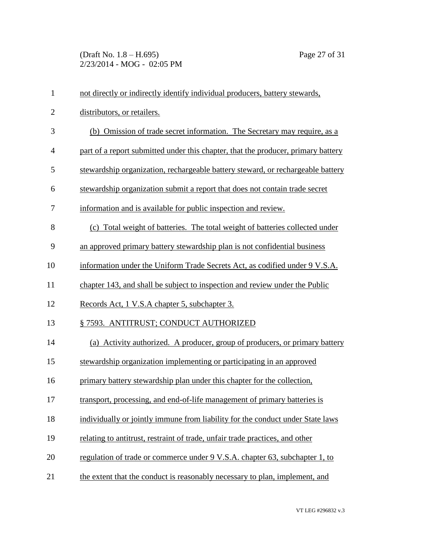(Draft No. 1.8 – H.695) Page 27 of 31 2/23/2014 - MOG - 02:05 PM

| $\mathbf{1}$   | not directly or indirectly identify individual producers, battery stewards,       |
|----------------|-----------------------------------------------------------------------------------|
| $\mathbf{2}$   | distributors, or retailers.                                                       |
| 3              | (b) Omission of trade secret information. The Secretary may require, as a         |
| $\overline{4}$ | part of a report submitted under this chapter, that the producer, primary battery |
| 5              | stewardship organization, rechargeable battery steward, or rechargeable battery   |
| 6              | stewardship organization submit a report that does not contain trade secret       |
| 7              | information and is available for public inspection and review.                    |
| 8              | (c) Total weight of batteries. The total weight of batteries collected under      |
| 9              | an approved primary battery stewardship plan is not confidential business         |
| 10             | information under the Uniform Trade Secrets Act, as codified under 9 V.S.A.       |
| 11             | chapter 143, and shall be subject to inspection and review under the Public       |
| 12             | Records Act, 1 V.S.A chapter 5, subchapter 3.                                     |
| 13             | § 7593. ANTITRUST; CONDUCT AUTHORIZED                                             |
| 14             | (a) Activity authorized. A producer, group of producers, or primary battery       |
| 15             | stewardship organization implementing or participating in an approved             |
| 16             | primary battery stewardship plan under this chapter for the collection,           |
| 17             | transport, processing, and end-of-life management of primary batteries is         |
| 18             | individually or jointly immune from liability for the conduct under State laws    |
| 19             | relating to antitrust, restraint of trade, unfair trade practices, and other      |
| 20             | regulation of trade or commerce under 9 V.S.A. chapter 63, subchapter 1, to       |
| 21             | the extent that the conduct is reasonably necessary to plan, implement, and       |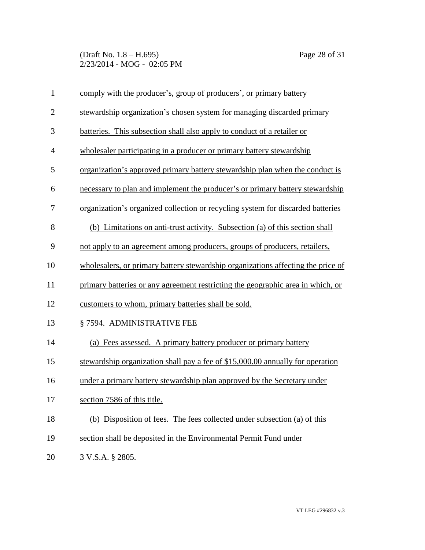(Draft No. 1.8 – H.695) Page 28 of 31 2/23/2014 - MOG - 02:05 PM

| $\mathbf{1}$   | comply with the producer's, group of producers', or primary battery              |
|----------------|----------------------------------------------------------------------------------|
| $\mathbf{2}$   | stewardship organization's chosen system for managing discarded primary          |
| 3              | batteries. This subsection shall also apply to conduct of a retailer or          |
| $\overline{4}$ | wholesaler participating in a producer or primary battery stewardship            |
| 5              | organization's approved primary battery stewardship plan when the conduct is     |
| 6              | necessary to plan and implement the producer's or primary battery stewardship    |
| 7              | organization's organized collection or recycling system for discarded batteries  |
| 8              | (b) Limitations on anti-trust activity. Subsection (a) of this section shall     |
| 9              | not apply to an agreement among producers, groups of producers, retailers,       |
| 10             | wholesalers, or primary battery stewardship organizations affecting the price of |
| 11             | primary batteries or any agreement restricting the geographic area in which, or  |
| 12             | customers to whom, primary batteries shall be sold.                              |
| 13             | §7594. ADMINISTRATIVE FEE                                                        |
| 14             | (a) Fees assessed. A primary battery producer or primary battery                 |
| 15             | stewardship organization shall pay a fee of \$15,000.00 annually for operation   |
| 16             | under a primary battery stewardship plan approved by the Secretary under         |
| 17             | section 7586 of this title.                                                      |
| 18             | (b) Disposition of fees. The fees collected under subsection (a) of this         |
| 19             | section shall be deposited in the Environmental Permit Fund under                |
| 20             | <u>3 V.S.A. § 2805.</u>                                                          |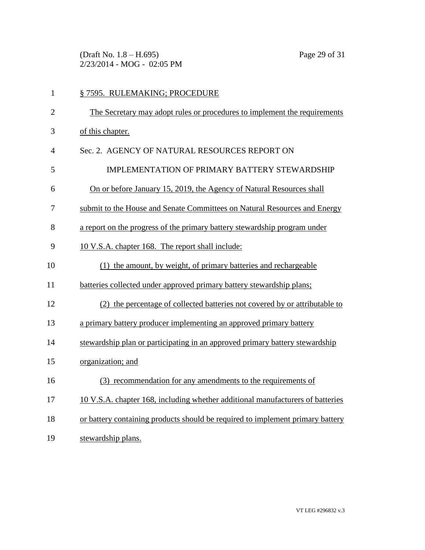(Draft No. 1.8 – H.695) Page 29 of 31 2/23/2014 - MOG - 02:05 PM

| $\mathbf{1}$   | § 7595. RULEMAKING; PROCEDURE                                                  |
|----------------|--------------------------------------------------------------------------------|
| $\mathbf{2}$   | The Secretary may adopt rules or procedures to implement the requirements      |
| 3              | of this chapter.                                                               |
| $\overline{4}$ | Sec. 2. AGENCY OF NATURAL RESOURCES REPORT ON                                  |
| 5              | IMPLEMENTATION OF PRIMARY BATTERY STEWARDSHIP                                  |
| 6              | On or before January 15, 2019, the Agency of Natural Resources shall           |
| 7              | submit to the House and Senate Committees on Natural Resources and Energy      |
| 8              | a report on the progress of the primary battery stewardship program under      |
| 9              | 10 V.S.A. chapter 168. The report shall include:                               |
| 10             | (1) the amount, by weight, of primary batteries and rechargeable               |
| 11             | batteries collected under approved primary battery stewardship plans;          |
| 12             | (2) the percentage of collected batteries not covered by or attributable to    |
| 13             | a primary battery producer implementing an approved primary battery            |
| 14             | stewardship plan or participating in an approved primary battery stewardship   |
| 15             | organization; and                                                              |
| 16             | (3) recommendation for any amendments to the requirements of                   |
| 17             | 10 V.S.A. chapter 168, including whether additional manufacturers of batteries |
| 18             | or battery containing products should be required to implement primary battery |
| 19             | stewardship plans.                                                             |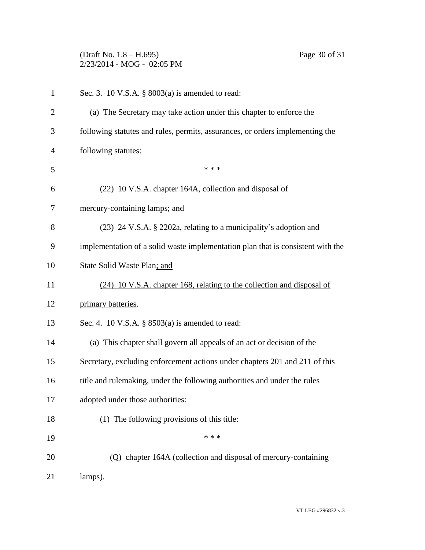(Draft No. 1.8 – H.695) Page 30 of 31 2/23/2014 - MOG - 02:05 PM

| $\mathbf{1}$   | Sec. 3. 10 V.S.A. $\S$ 8003(a) is amended to read:                              |
|----------------|---------------------------------------------------------------------------------|
| $\overline{2}$ | (a) The Secretary may take action under this chapter to enforce the             |
| 3              | following statutes and rules, permits, assurances, or orders implementing the   |
| $\overline{4}$ | following statutes:                                                             |
| 5              | * * *                                                                           |
| 6              | (22) 10 V.S.A. chapter 164A, collection and disposal of                         |
| 7              | mercury-containing lamps; and                                                   |
| 8              | (23) 24 V.S.A. § 2202a, relating to a municipality's adoption and               |
| 9              | implementation of a solid waste implementation plan that is consistent with the |
| 10             | State Solid Waste Plan; and                                                     |
| 11             | (24) 10 V.S.A. chapter 168, relating to the collection and disposal of          |
| 12             | primary batteries.                                                              |
| 13             | Sec. 4. 10 V.S.A. $\S$ 8503(a) is amended to read:                              |
| 14             | (a) This chapter shall govern all appeals of an act or decision of the          |
| 15             | Secretary, excluding enforcement actions under chapters 201 and 211 of this     |
| 16             | title and rulemaking, under the following authorities and under the rules       |
| 17             | adopted under those authorities:                                                |
| 18             | (1) The following provisions of this title:                                     |
| 19             | * * *                                                                           |
| 20             | (Q) chapter 164A (collection and disposal of mercury-containing                 |
| 21             | lamps).                                                                         |